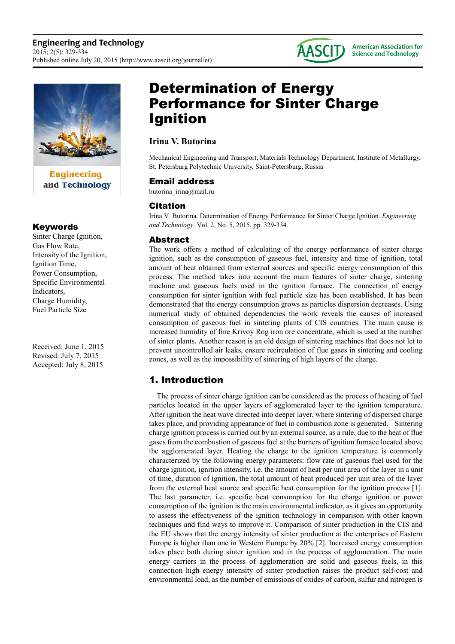

**Engineering** and Technology

#### Keywords

Sinter Charge Ignition, Gas Flow Rate, Intensity of the Ignition, Ignition Time, Power Consumption, Specific Environmental Indicators, Charge Humidity, Fuel Particle Size

Received: June 1, 2015 Revised: July 7, 2015 Accepted: July 8, 2015

# Determination of Energy Performance for Sinter Charge Ignition

# **Irina V. Butorina**

Mechanical Engineering and Transport, Materials Technology Department, Institute of Metallurgy, St. Petersburg Polytechnic University, Saint-Petersburg, Russia

**AASCITJ** 

**American Association for Science and Technology** 

## Email address

butorina irina@mail.ru

# Citation

Irina V. Butorina. Determination of Energy Performance for Sinter Charge Ignition. *Engineering and Technology.* Vol. 2, No. 5, 2015, pp. 329-334.

## Abstract

The work offers a method of calculating of the energy performance of sinter charge ignition, such as the consumption of gaseous fuel, intensity and time of ignition, total amount of heat obtained from external sources and specific energy consumption of this process. The method takes into account the main features of sinter charge, sintering machine and gaseous fuels used in the ignition furnace. The connection of energy consumption for sinter ignition with fuel particle size has been established. It has been demonstrated that the energy consumption grows as particles dispersion decreases. Using numerical study of obtained dependencies the work reveals the causes of increased consumption of gaseous fuel in sintering plants of CIS countries. The main cause is increased humidity of fine Krivoy Rog iron ore concentrate, which is used at the number of sinter plants. Another reason is an old design of sintering machines that does not let to prevent uncontrolled air leaks, ensure recirculation of flue gases in sintering and cooling zones, as well as the impossibility of sintering of high layers of the charge.

# 1. Introduction

The process of sinter charge ignition can be considered as the process of heating of fuel particles located in the upper layers of agglomerated layer to the ignition temperature. After ignition the heat wave directed into deeper layer, where sintering of dispersed charge takes place, and providing appearance of fuel in combustion zone is generated. Sintering charge ignition process is carried out by an external source, as a rule, due to the heat of flue gases from the combustion of gaseous fuel at the burners of ignition furnace located above the agglomerated layer. Heating the charge to the ignition temperature is commonly characterized by the following energy parameters: flow rate of gaseous fuel used for the charge ignition, ignition intensity, i.e. the amount of heat per unit area of the layer in a unit of time, duration of ignition, the total amount of heat produced per unit area of the layer from the external heat source and specific heat consumption for the ignition process [1]. The last parameter, i.e. specific heat consumption for the charge ignition or power consumption of the ignition is the main environmental indicator, as it gives an opportunity to assess the effectiveness of the ignition technology in comparison with other known techniques and find ways to improve it. Comparison of sinter production in the CIS and the EU shows that the energy intensity of sinter production at the enterprises of Eastern Europe is higher than one in Western Europe by 20% [2]. Increased energy consumption takes place both during sinter ignition and in the process of agglomeration. The main energy carriers in the process of agglomeration are solid and gaseous fuels, in this connection high energy intensity of sinter production raises the product self-cost and environmental load, as the number of emissions of oxides of carbon, sulfur and nitrogen is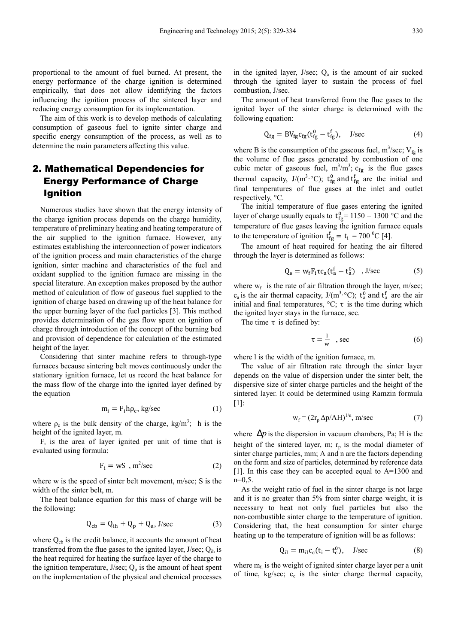proportional to the amount of fuel burned. At present, the energy performance of the charge ignition is determined empirically, that does not allow identifying the factors influencing the ignition process of the sintered layer and reducing energy consumption for its implementation.

The aim of this work is to develop methods of calculating consumption of gaseous fuel to ignite sinter charge and specific energy consumption of the process, as well as to determine the main parameters affecting this value.

# 2. Mathematical Dependencies for Energy Performance of Charge Ignition

Numerous studies have shown that the energy intensity of the charge ignition process depends on the charge humidity, temperature of preliminary heating and heating temperature of the air supplied to the ignition furnace. However, any estimates establishing the interconnection of power indicators of the ignition process and main characteristics of the charge ignition, sinter machine and characteristics of the fuel and oxidant supplied to the ignition furnace are missing in the special literature. An exception makes proposed by the author method of calculation of flow of gaseous fuel supplied to the ignition of charge based on drawing up of the heat balance for the upper burning layer of the fuel particles [3]. This method provides determination of the gas flow spent on ignition of charge through introduction of the concept of the burning bed and provision of dependence for calculation of the estimated height of the layer.

Considering that sinter machine refers to through-type furnaces because sintering belt moves continuously under the stationary ignition furnace, let us record the heat balance for the mass flow of the charge into the ignited layer defined by the equation

$$
m_i = F_i h \rho_c, kg/sec
$$
 (1)

where  $\rho_c$  is the bulk density of the charge, kg/m<sup>3</sup>; h is the height of the ignited layer, m.

 $F_i$  is the area of layer ignited per unit of time that is evaluated using formula:

$$
F_i = wS , m^2/sec
$$
 (2)

where w is the speed of sinter belt movement, m/sec; S is the width of the sinter belt, m.

The heat balance equation for this mass of charge will be the following:

$$
Q_{cb} = Q_{ih} + Q_p + Q_a, \text{J/sec} \tag{3}
$$

where  $Q<sub>ch</sub>$  is the credit balance, it accounts the amount of heat transferred from the flue gases to the ignited layer,  $J/sec$ ;  $Q<sub>ih</sub>$  is the heat required for heating the surface layer of the charge to the ignition temperature, J/sec;  $Q_p$  is the amount of heat spent on the implementation of the physical and chemical processes

in the ignited layer,  $J/sec$ ;  $Q_a$  is the amount of air sucked through the ignited layer to sustain the process of fuel combustion, J/sec.

The amount of heat transferred from the flue gases to the ignited layer of the sinter charge is determined with the following equation:

$$
Q_{fg} = BV_{fg}c_{fg}(t_{fg}^0 - t_{fg}^f), \quad J/sec
$$
 (4)

where B is the consumption of the gaseous fuel,  $m^3$ /sec; V<sub>fg</sub> is the volume of flue gases generated by combustion of one cubic meter of gaseous fuel,  $m^3/m^3$ ;  $c_{fg}$  is the flue gases thermal capacity,  $J/(m^3 \text{°C})$ ;  $t_{fg}^0$  and  $t_{fg}^f$  are the initial and final temperatures of flue gases at the inlet and outlet respectively, °C.

The initial temperature of flue gases entering the ignited layer of charge usually equals to  $t_{fg}^0$  = 1150 – 1300 °C and the temperature of flue gases leaving the ignition furnace equals to the temperature of ignition  $t_{fg}^f = t_i = 700 \degree C$  [4].

The amount of heat required for heating the air filtered through the layer is determined as follows:

$$
Q_{\rm B} = w_{\rm f} F_{\rm i} \tau c_{\rm a} (t_{\rm a}^{\rm f} - t_{\rm a}^{\rm 0}) \quad , \text{J/sec} \tag{5}
$$

where  $w_f$  is the rate of air filtration through the layer, m/sec;  $c_a$  is the air thermal capacity,  $J/(m^3 \text{°C})$ ;  $t_a^0$  and  $t_a^f$  are the air initial and final temperatures,  $\mathrm{C}$ ;  $\tau$  is the time during which the ignited layer stays in the furnace, sec.

The time  $\tau$  is defined by:

$$
\tau = \frac{1}{w} \quad \text{, sec} \tag{6}
$$

where l is the width of the ignition furnace, m.

The value of air filtration rate through the sinter layer depends on the value of dispersion under the sinter belt, the dispersive size of sinter charge particles and the height of the sintered layer. It could be determined using Ramzin formula [1]:

$$
w_f = (2r_p \Delta p/AH)^{1/n}, \, m/sec \tag{7}
$$

where  $\Delta p$  is the dispersion in vacuum chambers, Pa; H is the height of the sintered layer, m;  $r_p$  is the modal diameter of sinter charge particles, mm; А and n are the factors depending on the form and size of particles, determined by reference data [1]. In this case they can be accepted equal to А=1300 and  $n=0,5$ .

As the weight ratio of fuel in the sinter charge is not large and it is no greater than 5% from sinter charge weight, it is necessary to heat not only fuel particles but also the non-combustible sinter charge to the temperature of ignition. Considering that, the heat consumption for sinter charge heating up to the temperature of ignition will be as follows:

$$
Q_{il} = m_{il}c_c(t_i - t_c^0), \quad J/sec
$$
 (8)

where  $m_{il}$  is the weight of ignited sinter charge layer per a unit of time,  $kg/sec$ ;  $c_c$  is the sinter charge thermal capacity,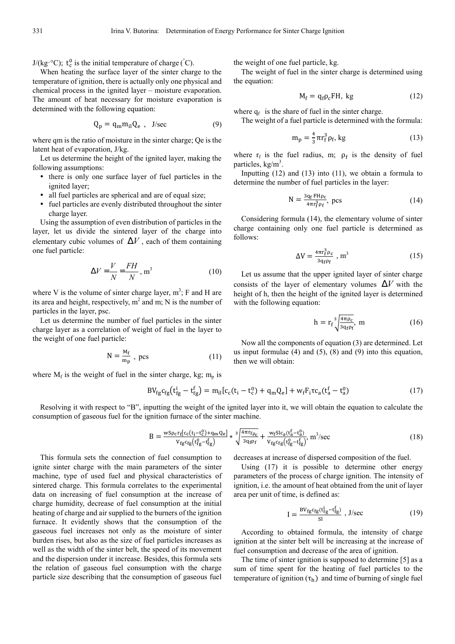$J/(kg \,^{\circ}C)$ ;  $t_c^0$  is the initial temperature of charge ( $^{\circ}C$ ).

When heating the surface layer of the sinter charge to the temperature of ignition, there is actually only one physical and chemical process in the ignited layer – moisture evaporation. The amount of heat necessary for moisture evaporation is determined with the following equation:

$$
Q_p = q_m m_{il} Q_e , \quad J/sec
$$
 (9)

where qm is the ratio of moisture in the sinter charge; Qe is the latent heat of evaporation, J/kg.

Let us determine the height of the ignited layer, making the following assumptions:

- there is only one surface layer of fuel particles in the ignited layer;
- all fuel particles are spherical and are of equal size;
- fuel particles are evenly distributed throughout the sinter charge layer.

Using the assumption of even distribution of particles in the layer, let us divide the sintered layer of the charge into elementary cubic volumes of  $\Delta V$ , each of them containing one fuel particle:

$$
\Delta V = \frac{V}{N} = \frac{FH}{N}, \text{m}^3
$$
 (10)

where V is the volume of sinter charge layer,  $m^3$ ; F and H are its area and height, respectively,  $m^2$  and m; N is the number of particles in the layer, psc.

Let us determine the number of fuel particles in the sinter charge layer as a correlation of weight of fuel in the layer to the weight of one fuel particle:

N = %& "' , pcs (11)

where  $M_f$  is the weight of fuel in the sinter charge, kg;  $m_p$  is

This formula sets the connection of fuel consumption to ignite sinter charge with the main parameters of the sinter machine, type of used fuel and physical characteristics of sintered charge. This formula correlates to the experimental data on increasing of fuel consumption at the increase of charge humidity, decrease of fuel consumption at the initial heating of charge and air supplied to the burners of the ignition furnace. It evidently shows that the consumption of the gaseous fuel increases not only as the moisture of sinter burden rises, but also as the size of fuel particles increases as well as the width of the sinter belt, the speed of its movement and the dispersion under it increase. Besides, this formula sets the relation of gaseous fuel consumption with the charge particle size describing that the consumption of gaseous fuel

$$
BV_{fg}c_{fg}(t_{fg}^i - t_{fg}^f) = m_{il}[c_c(t_i - t_c^0) + q_m Q_e] + w_f F_i \tau c_a(t_a^f - t_a^0)
$$
\n(17)

Resolving it with respect to "B", inputting the weight of the ignited layer into it, we will obtain the equation to calculate the consumption of gaseous fuel for the ignition furnace of the sinter machine.

$$
B = \frac{w \operatorname{Sp}_{\mathcal{C}}r_{f}[c_{\mathcal{C}}(t_{i}-t_{\mathcal{C}}^{0})+q_{m}Q_{e}]}{v_{fg}\operatorname{c}_{fg}(t_{fg}^{0}-t_{fg}^{f})} * \sqrt[3]{\frac{4\pi r_{f}\rho_{\mathcal{C}}}{3q_{f}\rho_{f}}} + \frac{w_{f}\operatorname{SL}_{a}(t_{a}^{f}-t_{a}^{0})}{v_{fg}\operatorname{c}_{fg}(t_{fg}^{0}-t_{fg}^{f})}, m^{3}/\operatorname{sec}
$$
(18)

decreases at increase of dispersed composition of the fuel.

Using (17) it is possible to determine other energy parameters of the process of charge ignition. The intensity of ignition, i.e. the amount of heat obtained from the unit of layer area per unit of time, is defined as:

$$
I = \frac{BV_{fg}c_{fg}(t_{fg}^i - t_{fg}^f)}{SI}, \, J/sec
$$
 (19)

According to obtained formula, the intensity of charge ignition at the sinter belt will be increasing at the increase of fuel consumption and decrease of the area of ignition.

The time of sinter ignition is supposed to determine [5] as a sum of time spent for the heating of fuel particles to the temperature of ignition  $(\tau_h)$  and time of burning of single fuel

the weight of one fuel particle, kg.

The weight of fuel in the sinter charge is determined using the equation:

$$
M_f = q_f \rho_c FH, kg \tag{12}
$$

where  $q_f$  is the share of fuel in the sinter charge.

The weight of a fuel particle is determined with the formula:

$$
m_p = \frac{4}{3} \pi r_f^3 \rho_f, kg \tag{13}
$$

where  $r_f$  is the fuel radius, m;  $\rho_f$  is the density of fuel particles, kg/m<sup>3</sup>.

Inputting  $(12)$  and  $(13)$  into  $(11)$ , we obtain a formula to determine the number of fuel particles in the layer:

$$
N = \frac{3q_f F H \rho_c}{4\pi r_f^3 \rho_f}, \text{ } \text{ } \text{ } \text{ } (14)
$$

Considering formula (14), the elementary volume of sinter charge containing only one fuel particle is determined as follows:

$$
\Delta V = \frac{4\pi r_f^3 \rho_c}{3q_f\rho_f} , m^3 \tag{15}
$$

Let us assume that the upper ignited layer of sinter charge consists of the layer of elementary volumes  $\Delta V$  with the height of h, then the height of the ignited layer is determined with the following equation:

$$
h = r_f^3 \sqrt{\frac{4\pi \rho_c}{3q_f \rho_f}}, \ m \tag{16}
$$

Now all the components of equation (3) are determined. Let us input formulae  $(4)$  and  $(5)$ ,  $(8)$  and  $(9)$  into this equation, then we will obtain: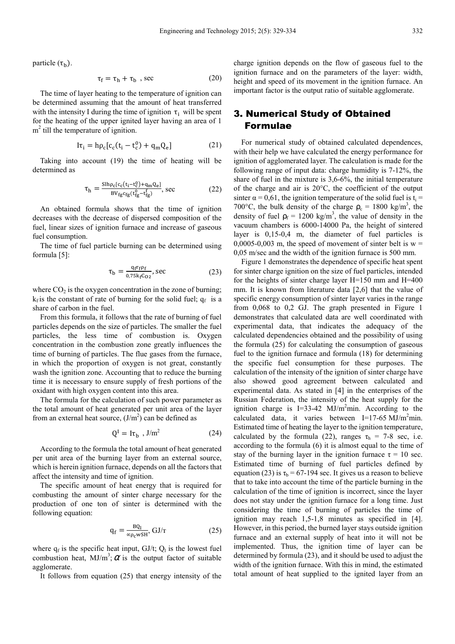particle  $(\tau_h)$ .

$$
\tau_f = \tau_h + \tau_b \text{ , sec} \tag{20}
$$

The time of layer heating to the temperature of ignition can be determined assuming that the amount of heat transferred with the intensity I during the time of ignition  $\tau_i$  will be spent for the heating of the upper ignited layer having an area of 1 m<sup>2</sup> till the temperature of ignition.

$$
I\tau_i = h\rho_c[c_c(t_i - t_c^0) + q_m Q_e]
$$
 (21)

Taking into account (19) the time of heating will be determined as

$$
\tau_h = \frac{\text{Slh}\rho_c[c_c(t_i - t_c^0) + q_m Q_e]}{\text{BV}_{fg}c_{fg}(t_{fg}^0 - t_{fg}^f)}, \text{sec} \tag{22}
$$

An obtained formula shows that the time of ignition decreases with the decrease of dispersed composition of the fuel, linear sizes of ignition furnace and increase of gaseous fuel consumption.

The time of fuel particle burning can be determined using formula [5]:

$$
\tau_b = \frac{q_f r_f \rho_f}{0.75 k_f C_{02}}, \text{sec} \tag{23}
$$

where  $CO<sub>2</sub>$  is the oxygen concentration in the zone of burning;  $k_f$  is the constant of rate of burning for the solid fuel;  $q_f$  is a share of carbon in the fuel.

From this formula, it follows that the rate of burning of fuel particles depends on the size of particles. The smaller the fuel particles, the less time of combustion is. Oxygen concentration in the combustion zone greatly influences the time of burning of particles. The flue gases from the furnace, in which the proportion of oxygen is not great, constantly wash the ignition zone. Accounting that to reduce the burning time it is necessary to ensure supply of fresh portions of the oxidant with high oxygen content into this area.

The formula for the calculation of such power parameter as the total amount of heat generated per unit area of the layer from an external heat source,  $(J/m<sup>2</sup>)$  can be defined as

$$
Q^I = I\tau_b \, , J/m^2 \tag{24}
$$

According to the formula the total amount of heat generated per unit area of the burning layer from an external source, which is herein ignition furnace, depends on all the factors that affect the intensity and time of ignition.

The specific amount of heat energy that is required for combusting the amount of sinter charge necessary for the production of one ton of sinter is determined with the following equation:

$$
q_f = \frac{BQ_l}{\alpha \rho_c wSH}, \, GJ/\tau \tag{25}
$$

where  $q_f$  is the specific heat input, GJ/t;  $Q_l$  is the lowest fuel combustion heat,  $MJ/m^3$ ;  $\alpha$  is the output factor of suitable agglomerate.

It follows from equation (25) that energy intensity of the

charge ignition depends on the flow of gaseous fuel to the ignition furnace and on the parameters of the layer: width, height and speed of its movement in the ignition furnace. An important factor is the output ratio of suitable agglomerate.

# 3. Numerical Study of Obtained Formulae

For numerical study of obtained calculated dependences, with their help we have calculated the energy performance for ignition of agglomerated layer. The calculation is made for the following range of input data: charge humidity is 7-12%, the share of fuel in the mixture is 3,6-6%, the initial temperature of the charge and air is 20°C, the coefficient of the output sinter  $\alpha = 0.61$ , the ignition temperature of the solid fuel is  $t_i =$ 700°C, the bulk density of the charge  $\rho_c = 1800 \text{ kg/m}^3$ , the density of fuel  $p_f = 1200 \text{ kg/m}^3$ , the value of density in the vacuum chambers is 6000-14000 Pa, the height of sintered layer is 0,15-0,4 m, the diameter of fuel particles is 0,0005-0,003 m, the speed of movement of sinter belt is  $w =$ 0,05 m/sec and the width of the ignition furnace is 500 mm.

Figure 1 demonstrates the dependence of specific heat spent for sinter charge ignition on the size of fuel particles, intended for the heights of sinter charge layer Н=150 mm and Н=400 mm. It is known from literature data [2,6] that the value of specific energy consumption of sinter layer varies in the range from 0,068 to 0,2 GJ. The graph presented in Figure 1 demonstrates that calculated data are well coordinated with experimental data, that indicates the adequacy of the calculated dependencies obtained and the possibility of using the formula (25) for calculating the consumption of gaseous fuel to the ignition furnace and formula (18) for determining the specific fuel consumption for these purposes. The calculation of the intensity of the ignition of sinter charge have also showed good agreement between calculated and experimental data. As stated in [4] in the enterprises of the Russian Federation, the intensity of the heat supply for the ignition charge is  $I=33-42$  MJ/m<sup>2</sup>min. According to the calculated data, it varies between  $I=17-65 \text{ MJ/m}^2$ min. Estimated time of heating the layer to the ignition temperature, calculated by the formula (22), ranges  $\tau_h$  = 7-8 sec, i.e. according to the formula (6) it is almost equal to the time of stay of the burning layer in the ignition furnace  $\tau = 10$  sec. Estimated time of burning of fuel particles defined by equation (23) is  $\tau_b = 67-194$  sec. It gives us a reason to believe that to take into account the time of the particle burning in the calculation of the time of ignition is incorrect, since the layer does not stay under the ignition furnace for a long time. Just considering the time of burning of particles the time of ignition may reach 1,5-1,8 minutes as specified in [4]. However, in this period, the burned layer stays outside ignition furnace and an external supply of heat into it will not be implemented. Thus, the ignition time of layer can be determined by formula (23), and it should be used to adjust the width of the ignition furnace. With this in mind, the estimated total amount of heat supplied to the ignited layer from an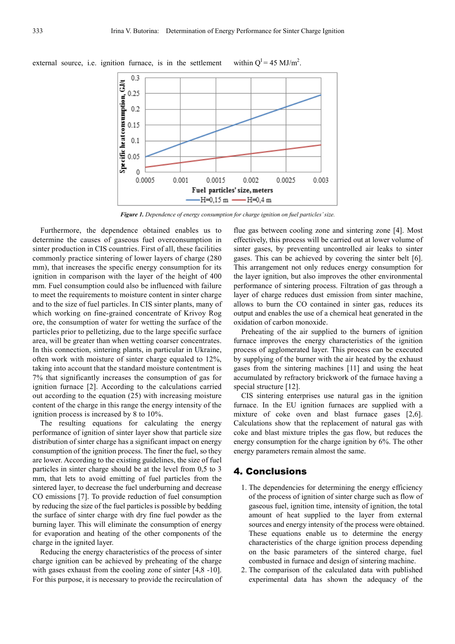

external source, i.e. ignition furnace, is in the settlement within  $O^I = 45$  MJ/m<sup>2</sup>.

*Figure 1. Dependence of energy consumption for charge ignition on fuel particles' size.* 

Furthermore, the dependence obtained enables us to determine the causes of gaseous fuel overconsumption in sinter production in CIS countries. First of all, these facilities commonly practice sintering of lower layers of charge (280 mm), that increases the specific energy consumption for its ignition in comparison with the layer of the height of 400 mm. Fuel consumption could also be influenced with failure to meet the requirements to moisture content in sinter charge and to the size of fuel particles. In CIS sinter plants, many of which working on fine-grained concentrate of Krivoy Rog ore, the consumption of water for wetting the surface of the particles prior to pelletizing, due to the large specific surface area, will be greater than when wetting coarser concentrates. In this connection, sintering plants, in particular in Ukraine, often work with moisture of sinter charge equaled to 12%, taking into account that the standard moisture contentment is 7% that significantly increases the consumption of gas for ignition furnace [2]. According to the calculations carried out according to the equation (25) with increasing moisture content of the charge in this range the energy intensity of the ignition process is increased by 8 to 10%.

The resulting equations for calculating the energy performance of ignition of sinter layer show that particle size distribution of sinter charge has a significant impact on energy consumption of the ignition process. The finer the fuel, so they are lower. According to the existing guidelines, the size of fuel particles in sinter charge should be at the level from 0,5 to 3 mm, that lets to avoid emitting of fuel particles from the sintered layer, to decrease the fuel underburning and decrease CO emissions [7]. To provide reduction of fuel consumption by reducing the size of the fuel particles is possible by bedding the surface of sinter charge with dry fine fuel powder as the burning layer. This will eliminate the consumption of energy for evaporation and heating of the other components of the charge in the ignited layer.

Reducing the energy characteristics of the process of sinter charge ignition can be achieved by preheating of the charge with gases exhaust from the cooling zone of sinter [4,8 -10]. For this purpose, it is necessary to provide the recirculation of flue gas between cooling zone and sintering zone [4]. Most effectively, this process will be carried out at lower volume of sinter gases, by preventing uncontrolled air leaks to sinter gases. This can be achieved by covering the sinter belt [6]. This arrangement not only reduces energy consumption for the layer ignition, but also improves the other environmental performance of sintering process. Filtration of gas through a layer of charge reduces dust emission from sinter machine, allows to burn the CO contained in sinter gas, reduces its output and enables the use of a chemical heat generated in the oxidation of carbon monoxide.

Preheating of the air supplied to the burners of ignition furnace improves the energy characteristics of the ignition process of agglomerated layer. This process can be executed by supplying of the burner with the air heated by the exhaust gases from the sintering machines [11] and using the heat accumulated by refractory brickwork of the furnace having a special structure [12].

CIS sintering enterprises use natural gas in the ignition furnace. In the EU ignition furnaces are supplied with a mixture of coke oven and blast furnace gases [2,6]. Calculations show that the replacement of natural gas with coke and blast mixture triples the gas flow, but reduces the energy consumption for the charge ignition by 6%. The other energy parameters remain almost the same.

#### 4. Conclusions

- 1. The dependencies for determining the energy efficiency of the process of ignition of sinter charge such as flow of gaseous fuel, ignition time, intensity of ignition, the total amount of heat supplied to the layer from external sources and energy intensity of the process were obtained. These equations enable us to determine the energy characteristics of the charge ignition process depending on the basic parameters of the sintered charge, fuel combusted in furnace and design of sintering machine.
- 2. The comparison of the calculated data with published experimental data has shown the adequacy of the